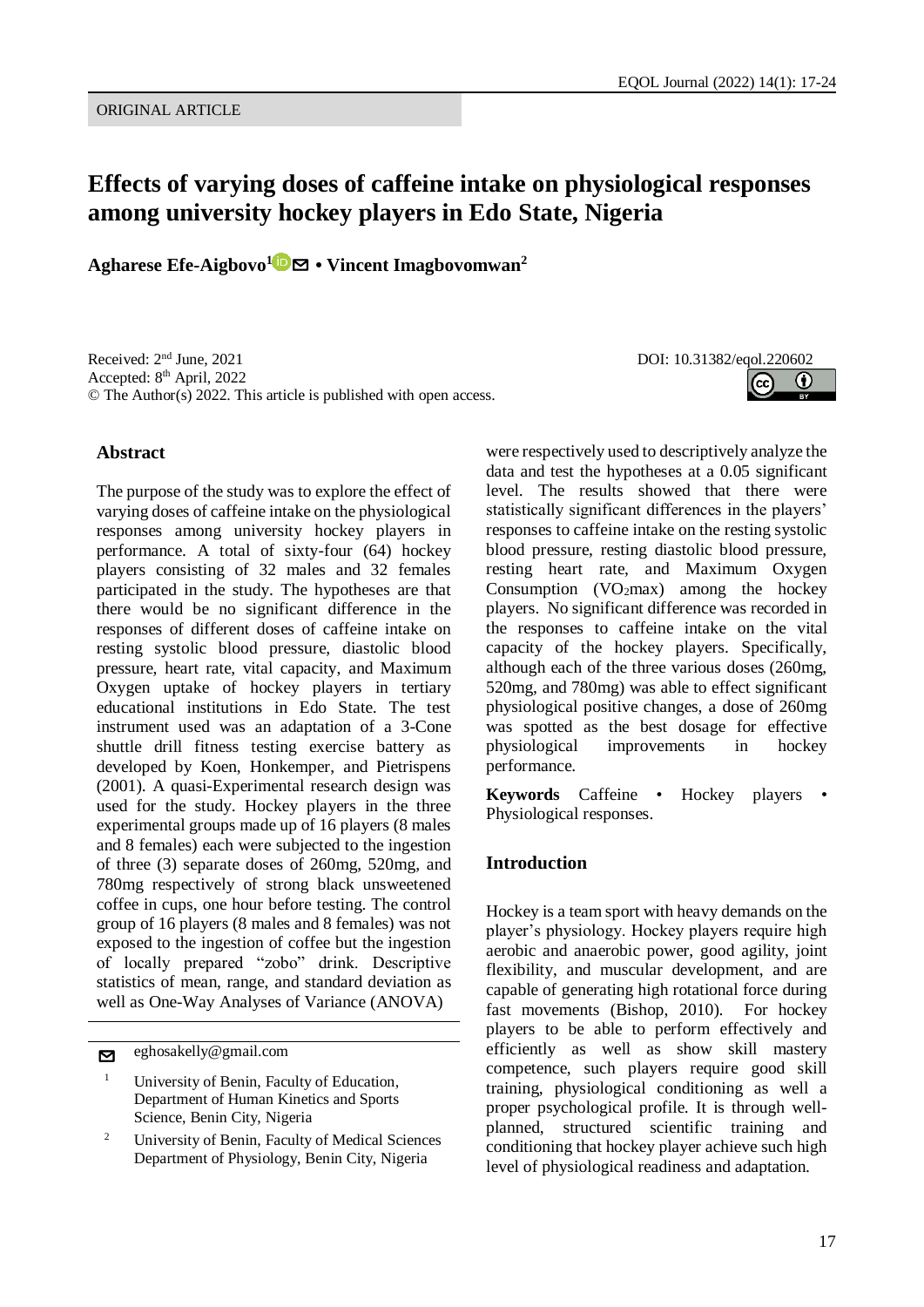# **Effects of varying doses of caffeine intake on physiological responses among university hockey players in Edo State, Nigeria**

**Agharese Efe-Aigbovo<sup>1</sup>** [✉](mailto:eghosakelly@gmail.com?subject=EQOL%20Journal) **• Vincent Imagbovomwan<sup>2</sup>**

Received: 2<sup>nd</sup> June, 2021 Accepted: 8<sup>th</sup> April, 2022 © The Author(s) 2022. This article is published with open access.

#### **Abstract**

The purpose of the study was to explore the effect of varying doses of caffeine intake on the physiological responses among university hockey players in performance. A total of sixty-four (64) hockey players consisting of 32 males and 32 females participated in the study. The hypotheses are that there would be no significant difference in the responses of different doses of caffeine intake on resting systolic blood pressure, diastolic blood pressure, heart rate, vital capacity, and Maximum Oxygen uptake of hockey players in tertiary educational institutions in Edo State. The test instrument used was an adaptation of a 3-Cone shuttle drill fitness testing exercise battery as developed by Koen, Honkemper, and Pietrispens (2001). A quasi-Experimental research design was used for the study. Hockey players in the three experimental groups made up of 16 players (8 males and 8 females) each were subjected to the ingestion of three (3) separate doses of 260mg, 520mg, and 780mg respectively of strong black unsweetened coffee in cups, one hour before testing. The control group of 16 players (8 males and 8 females) was not exposed to the ingestion of coffee but the ingestion of locally prepared "zobo" drink. Descriptive statistics of mean, range, and standard deviation as well as One-Way Analyses of Variance (ANOVA)

[✉](mailto:eghosakelly@gmail.com?subject=EQOL%20Journal) eghosakelly@gmail.com

- <sup>1</sup> University of Benin, Faculty of Education, Department of Human Kinetics and Sports Science, Benin City, Nigeria
- <sup>2</sup> University of Benin, Faculty of Medical Sciences Department of Physiology, Benin City, Nigeria

DOI: 10.31382/eqol.220602



were respectively used to descriptively analyze the data and test the hypotheses at a 0.05 significant level. The results showed that there were statistically significant differences in the players' responses to caffeine intake on the resting systolic blood pressure, resting diastolic blood pressure, resting heart rate, and Maximum Oxygen Consumption (VO<sub>2</sub>max) among the hockey players. No significant difference was recorded in the responses to caffeine intake on the vital capacity of the hockey players. Specifically, although each of the three various doses (260mg, 520mg, and 780mg) was able to effect significant physiological positive changes, a dose of 260mg was spotted as the best dosage for effective physiological improvements in hockey performance.

**Keywords** Caffeine • Hockey players • Physiological responses.

## **Introduction**

Hockey is a team sport with heavy demands on the player's physiology. Hockey players require high aerobic and anaerobic power, good agility, joint flexibility, and muscular development, and are capable of generating high rotational force during fast movements (Bishop, 2010). For hockey players to be able to perform effectively and efficiently as well as show skill mastery competence, such players require good skill training, physiological conditioning as well a proper psychological profile. It is through wellplanned, structured scientific training and conditioning that hockey player achieve such high level of physiological readiness and adaptation.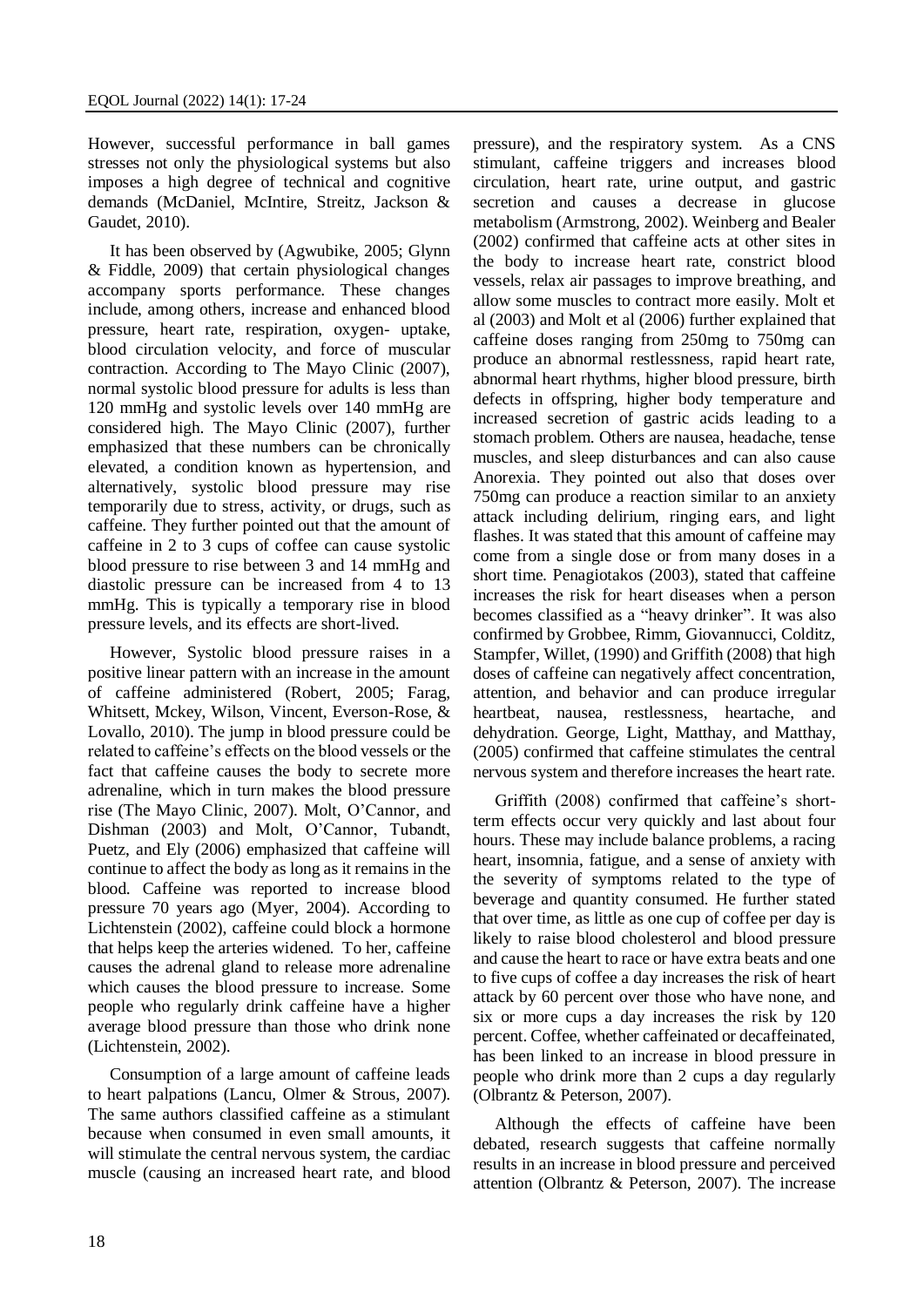However, successful performance in ball games stresses not only the physiological systems but also imposes a high degree of technical and cognitive demands (McDaniel, McIntire, Streitz, Jackson & Gaudet, 2010).

It has been observed by (Agwubike, 2005; Glynn & Fiddle, 2009) that certain physiological changes accompany sports performance. These changes include, among others, increase and enhanced blood pressure, heart rate, respiration, oxygen- uptake, blood circulation velocity, and force of muscular contraction. According to The Mayo Clinic (2007), normal systolic blood pressure for adults is less than 120 mmHg and systolic levels over 140 mmHg are considered high. The Mayo Clinic (2007), further emphasized that these numbers can be chronically elevated, a condition known as hypertension, and alternatively, systolic blood pressure may rise temporarily due to stress, activity, or drugs, such as caffeine. They further pointed out that the amount of caffeine in 2 to 3 cups of coffee can cause systolic blood pressure to rise between 3 and 14 mmHg and diastolic pressure can be increased from 4 to 13 mmHg. This is typically a temporary rise in blood pressure levels, and its effects are short-lived.

However, Systolic blood pressure raises in a positive linear pattern with an increase in the amount of caffeine administered (Robert, 2005; Farag, Whitsett, Mckey, Wilson, Vincent, Everson-Rose, & Lovallo, 2010). The jump in blood pressure could be related to caffeine's effects on the blood vessels or the fact that caffeine causes the body to secrete more adrenaline, which in turn makes the blood pressure rise (The Mayo Clinic, 2007). Molt, O'Cannor, and Dishman (2003) and Molt, O'Cannor, Tubandt, Puetz, and Ely (2006) emphasized that caffeine will continue to affect the body as long as it remains in the blood. Caffeine was reported to increase blood pressure 70 years ago (Myer, 2004). According to Lichtenstein (2002), caffeine could block a hormone that helps keep the arteries widened. To her, caffeine causes the adrenal gland to release more adrenaline which causes the blood pressure to increase. Some people who regularly drink caffeine have a higher average blood pressure than those who drink none (Lichtenstein, 2002).

Consumption of a large amount of caffeine leads to heart palpations (Lancu, Olmer & Strous, 2007). The same authors classified caffeine as a stimulant because when consumed in even small amounts, it will stimulate the central nervous system, the cardiac muscle (causing an increased heart rate, and blood

pressure), and the respiratory system. As a CNS stimulant, caffeine triggers and increases blood circulation, heart rate, urine output, and gastric secretion and causes a decrease in glucose metabolism (Armstrong, 2002). Weinberg and Bealer (2002) confirmed that caffeine acts at other sites in the body to increase heart rate, constrict blood vessels, relax air passages to improve breathing, and allow some muscles to contract more easily. Molt et al (2003) and Molt et al (2006) further explained that caffeine doses ranging from 250mg to 750mg can produce an abnormal restlessness, rapid heart rate, abnormal heart rhythms, higher blood pressure, birth defects in offspring, higher body temperature and increased secretion of gastric acids leading to a stomach problem. Others are nausea, headache, tense muscles, and sleep disturbances and can also cause Anorexia. They pointed out also that doses over 750mg can produce a reaction similar to an anxiety attack including delirium, ringing ears, and light flashes. It was stated that this amount of caffeine may come from a single dose or from many doses in a short time. Penagiotakos (2003), stated that caffeine increases the risk for heart diseases when a person becomes classified as a "heavy drinker". It was also confirmed by Grobbee, Rimm, Giovannucci, Colditz, Stampfer, Willet, (1990) and Griffith (2008) that high doses of caffeine can negatively affect concentration, attention, and behavior and can produce irregular heartbeat, nausea, restlessness, heartache, and dehydration. George, Light, Matthay, and Matthay, (2005) confirmed that caffeine stimulates the central nervous system and therefore increases the heart rate.

Griffith (2008) confirmed that caffeine's shortterm effects occur very quickly and last about four hours. These may include balance problems, a racing heart, insomnia, fatigue, and a sense of anxiety with the severity of symptoms related to the type of beverage and quantity consumed. He further stated that over time, as little as one cup of coffee per day is likely to raise blood cholesterol and blood pressure and cause the heart to race or have extra beats and one to five cups of coffee a day increases the risk of heart attack by 60 percent over those who have none, and six or more cups a day increases the risk by 120 percent. Coffee, whether caffeinated or decaffeinated, has been linked to an increase in blood pressure in people who drink more than 2 cups a day regularly (Olbrantz & Peterson, 2007).

Although the effects of caffeine have been debated, research suggests that caffeine normally results in an increase in blood pressure and perceived attention (Olbrantz & Peterson, 2007). The increase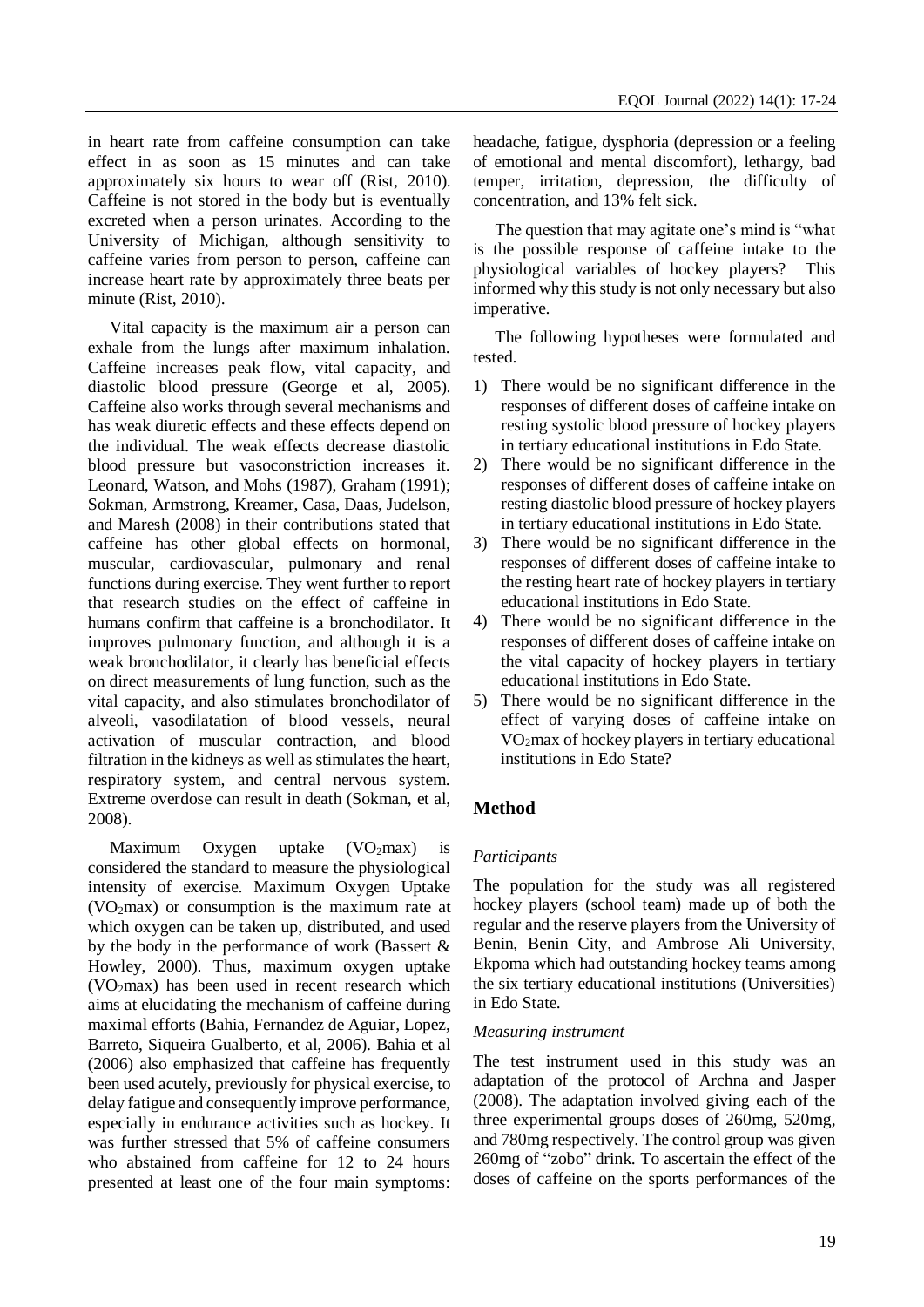in heart rate from caffeine consumption can take effect in as soon as 15 minutes and can take approximately six hours to wear off (Rist, 2010). Caffeine is not stored in the body but is eventually excreted when a person urinates. According to the University of Michigan, although sensitivity to caffeine varies from person to person, caffeine can increase heart rate by approximately three beats per minute (Rist, 2010).

Vital capacity is the maximum air a person can exhale from the lungs after maximum inhalation. Caffeine increases peak flow, vital capacity, and diastolic blood pressure (George et al, 2005). Caffeine also works through several mechanisms and has weak diuretic effects and these effects depend on the individual. The weak effects decrease diastolic blood pressure but vasoconstriction increases it. Leonard, Watson, and Mohs (1987), Graham (1991); Sokman, Armstrong, Kreamer, Casa, Daas, Judelson, and Maresh (2008) in their contributions stated that caffeine has other global effects on hormonal, muscular, cardiovascular, pulmonary and renal functions during exercise. They went further to report that research studies on the effect of caffeine in humans confirm that caffeine is a bronchodilator. It improves pulmonary function, and although it is a weak bronchodilator, it clearly has beneficial effects on direct measurements of lung function, such as the vital capacity, and also stimulates bronchodilator of alveoli, vasodilatation of blood vessels, neural activation of muscular contraction, and blood filtration in the kidneys as well as stimulates the heart, respiratory system, and central nervous system. Extreme overdose can result in death (Sokman, et al, 2008).

Maximum Oxygen uptake  $(VO_2$ max) is considered the standard to measure the physiological intensity of exercise. Maximum Oxygen Uptake  $(VO<sub>2</sub>max)$  or consumption is the maximum rate at which oxygen can be taken up, distributed, and used by the body in the performance of work (Bassert & Howley, 2000). Thus, maximum oxygen uptake (VO2max) has been used in recent research which aims at elucidating the mechanism of caffeine during maximal efforts (Bahia, Fernandez de Aguiar, Lopez, Barreto, Siqueira Gualberto, et al, 2006). Bahia et al (2006) also emphasized that caffeine has frequently been used acutely, previously for physical exercise, to delay fatigue and consequently improve performance, especially in endurance activities such as hockey. It was further stressed that 5% of caffeine consumers who abstained from caffeine for 12 to 24 hours presented at least one of the four main symptoms: headache, fatigue, dysphoria (depression or a feeling of emotional and mental discomfort), lethargy, bad temper, irritation, depression, the difficulty of concentration, and 13% felt sick.

The question that may agitate one's mind is "what is the possible response of caffeine intake to the physiological variables of hockey players? This informed why this study is not only necessary but also imperative.

The following hypotheses were formulated and tested.

- 1) There would be no significant difference in the responses of different doses of caffeine intake on resting systolic blood pressure of hockey players in tertiary educational institutions in Edo State.
- 2) There would be no significant difference in the responses of different doses of caffeine intake on resting diastolic blood pressure of hockey players in tertiary educational institutions in Edo State.
- 3) There would be no significant difference in the responses of different doses of caffeine intake to the resting heart rate of hockey players in tertiary educational institutions in Edo State.
- 4) There would be no significant difference in the responses of different doses of caffeine intake on the vital capacity of hockey players in tertiary educational institutions in Edo State.
- 5) There would be no significant difference in the effect of varying doses of caffeine intake on  $VO<sub>2</sub>max$  of hockey players in tertiary educational institutions in Edo State?

## **Method**

## *Participants*

The population for the study was all registered hockey players (school team) made up of both the regular and the reserve players from the University of Benin, Benin City, and Ambrose Ali University, Ekpoma which had outstanding hockey teams among the six tertiary educational institutions (Universities) in Edo State.

#### *Measuring instrument*

The test instrument used in this study was an adaptation of the protocol of Archna and Jasper (2008). The adaptation involved giving each of the three experimental groups doses of 260mg, 520mg, and 780mg respectively. The control group was given 260mg of "zobo" drink. To ascertain the effect of the doses of caffeine on the sports performances of the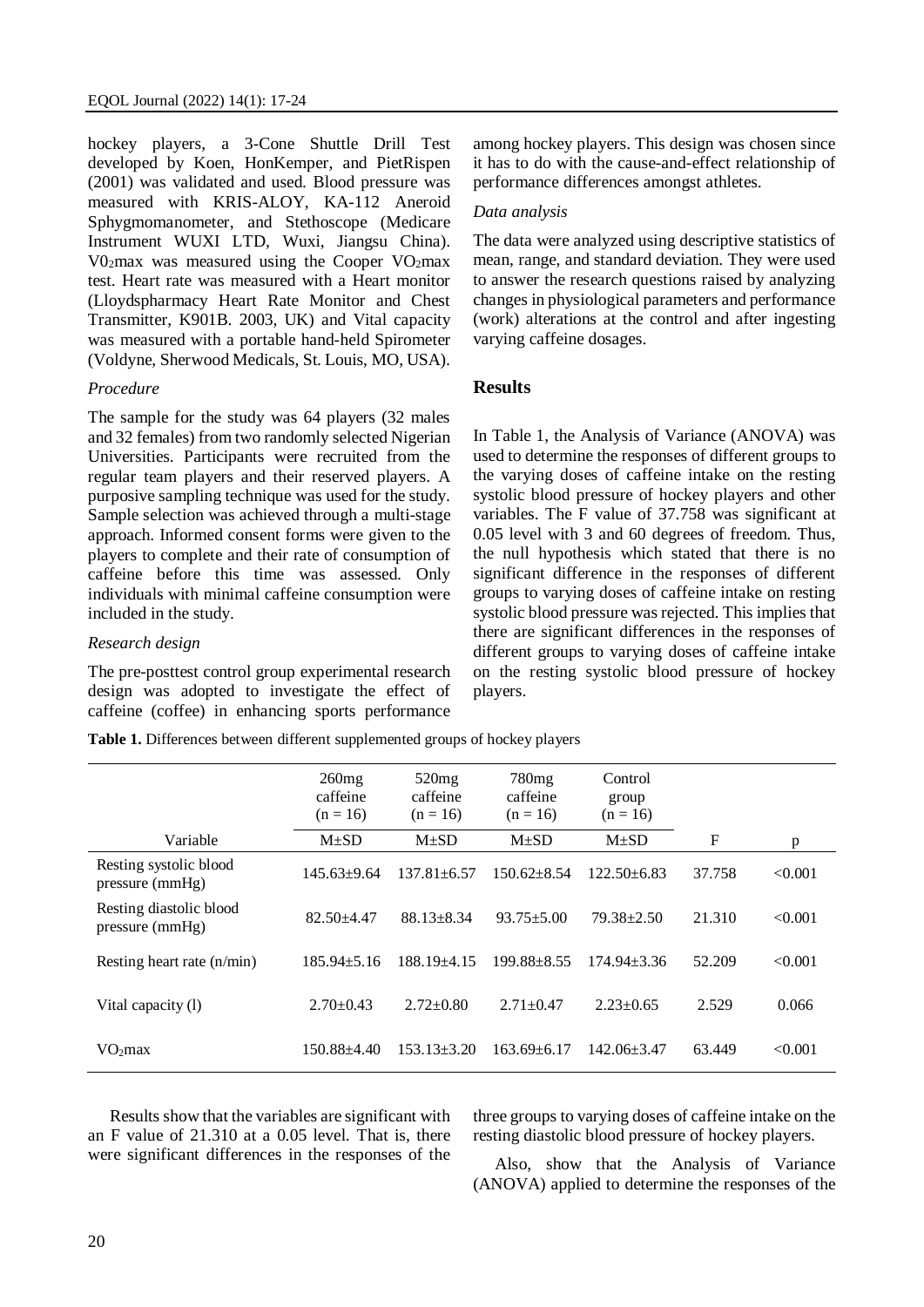hockey players, a 3-Cone Shuttle Drill Test developed by Koen, HonKemper, and PietRispen (2001) was validated and used. Blood pressure was measured with KRIS-ALOY, KA-112 Aneroid Sphygmomanometer, and Stethoscope (Medicare Instrument WUXI LTD, Wuxi, Jiangsu China). V02max was measured using the Cooper VO2max test. Heart rate was measured with a Heart monitor (Lloydspharmacy Heart Rate Monitor and Chest Transmitter, K901B. 2003, UK) and Vital capacity was measured with a portable hand-held Spirometer (Voldyne, Sherwood Medicals, St. Louis, MO, USA).

#### *Procedure*

The sample for the study was 64 players (32 males and 32 females) from two randomly selected Nigerian Universities. Participants were recruited from the regular team players and their reserved players. A purposive sampling technique was used for the study. Sample selection was achieved through a multi-stage approach. Informed consent forms were given to the players to complete and their rate of consumption of caffeine before this time was assessed. Only individuals with minimal caffeine consumption were included in the study.

### *Research design*

The pre-posttest control group experimental research design was adopted to investigate the effect of caffeine (coffee) in enhancing sports performance

**Table 1.** Differences between different supplemented groups of hockey players

among hockey players. This design was chosen since it has to do with the cause-and-effect relationship of performance differences amongst athletes.

#### *Data analysis*

The data were analyzed using descriptive statistics of mean, range, and standard deviation. They were used to answer the research questions raised by analyzing changes in physiological parameters and performance (work) alterations at the control and after ingesting varying caffeine dosages.

#### **Results**

In Table 1, the Analysis of Variance (ANOVA) was used to determine the responses of different groups to the varying doses of caffeine intake on the resting systolic blood pressure of hockey players and other variables. The F value of 37.758 was significant at 0.05 level with 3 and 60 degrees of freedom. Thus, the null hypothesis which stated that there is no significant difference in the responses of different groups to varying doses of caffeine intake on resting systolic blood pressure was rejected. This implies that there are significant differences in the responses of different groups to varying doses of caffeine intake on the resting systolic blood pressure of hockey players.

|                                            | 260mg<br>caffeine<br>$(n = 16)$ | 520mg<br>caffeine<br>$(n = 16)$ | 780mg<br>caffeine<br>$(n = 16)$ | Control<br>group<br>$(n = 16)$ |              |         |
|--------------------------------------------|---------------------------------|---------------------------------|---------------------------------|--------------------------------|--------------|---------|
| Variable                                   | $M\pm SD$                       | $M\pm SD$                       | $M\pm SD$                       | $M + SD$                       | $\mathbf{F}$ | p       |
| Resting systolic blood<br>pressure (mmHg)  | $145.63+9.64$                   | $137.81 \pm 6.57$               | $150.62 \pm 8.54$               | $122.50 + 6.83$                | 37.758       | < 0.001 |
| Resting diastolic blood<br>pressure (mmHg) | $82.50 + 4.47$                  | $88.13 \pm 8.34$                | $93.75 + 5.00$                  | $79.38 + 2.50$                 | 21.310       | < 0.001 |
| Resting heart rate (n/min)                 | $185.94 \pm 5.16$               | $188.19 + 4.15$                 | $199.88 + 8.55$                 | $174.94 \pm 3.36$              | 52.209       | < 0.001 |
| Vital capacity (1)                         | $2.70 \pm 0.43$                 | $2.72 \pm 0.80$                 | $2.71 + 0.47$                   | $2.23 \pm 0.65$                | 2.529        | 0.066   |
| VO <sub>2</sub> max                        | 150.88+4.40                     | $153.13 \pm 3.20$               | $163.69 \pm 6.17$               | $142.06 \pm 3.47$              | 63.449       | < 0.001 |

Results show that the variables are significant with an F value of 21.310 at a 0.05 level. That is, there were significant differences in the responses of the

three groups to varying doses of caffeine intake on the resting diastolic blood pressure of hockey players.

Also, show that the Analysis of Variance (ANOVA) applied to determine the responses of the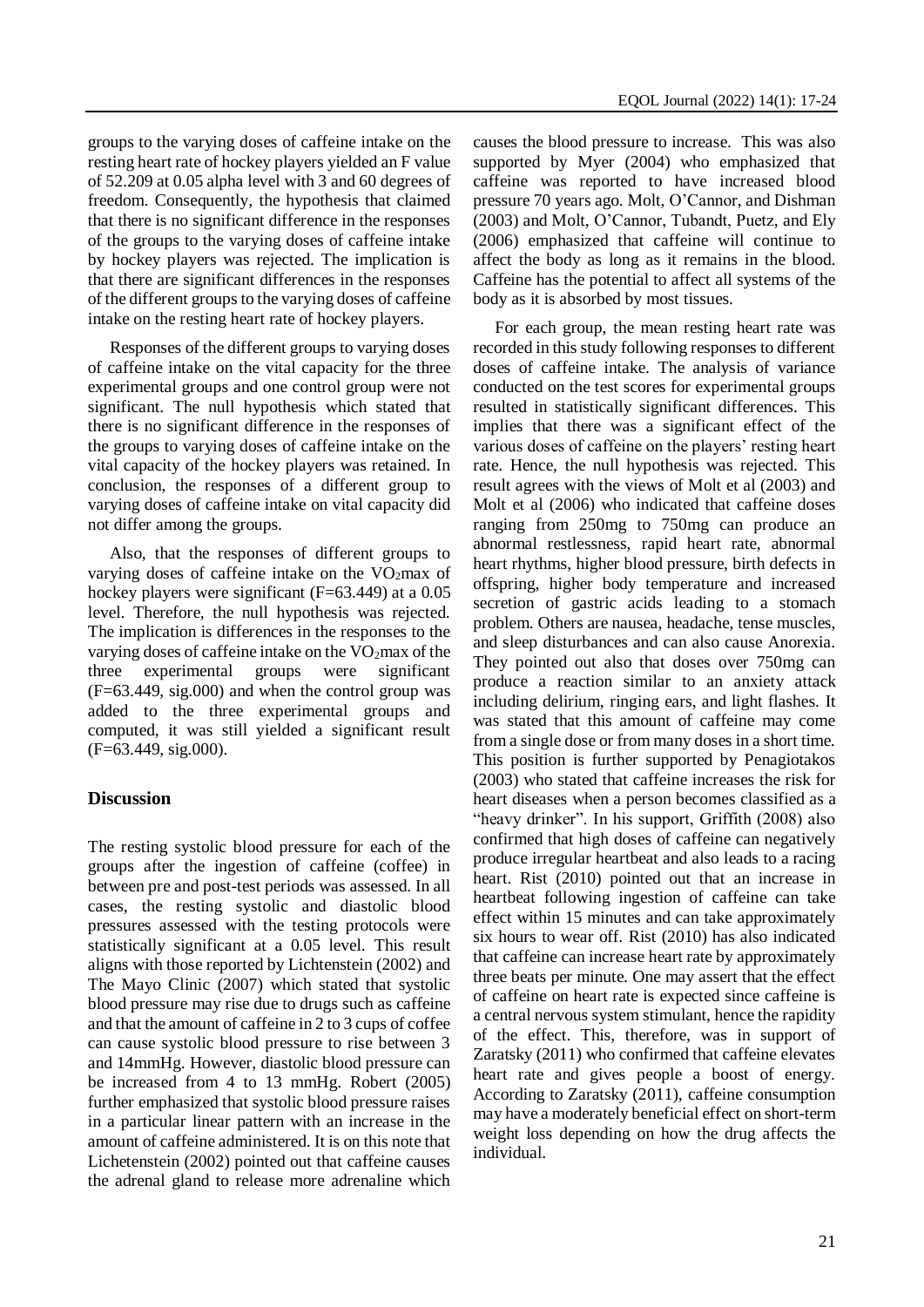groups to the varying doses of caffeine intake on the resting heart rate of hockey players yielded an F value of 52.209 at 0.05 alpha level with 3 and 60 degrees of freedom. Consequently, the hypothesis that claimed that there is no significant difference in the responses of the groups to the varying doses of caffeine intake by hockey players was rejected. The implication is that there are significant differences in the responses of the different groups to the varying doses of caffeine intake on the resting heart rate of hockey players.

Responses of the different groups to varying doses of caffeine intake on the vital capacity for the three experimental groups and one control group were not significant. The null hypothesis which stated that there is no significant difference in the responses of the groups to varying doses of caffeine intake on the vital capacity of the hockey players was retained. In conclusion, the responses of a different group to varying doses of caffeine intake on vital capacity did not differ among the groups.

Also, that the responses of different groups to varying doses of caffeine intake on the  $VO<sub>2</sub>max$  of hockey players were significant (F=63.449) at a 0.05 level. Therefore, the null hypothesis was rejected. The implication is differences in the responses to the varying doses of caffeine intake on the VO2max of the three experimental groups were significant (F=63.449, sig.000) and when the control group was added to the three experimental groups and computed, it was still yielded a significant result (F=63.449, sig.000).

## **Discussion**

The resting systolic blood pressure for each of the groups after the ingestion of caffeine (coffee) in between pre and post-test periods was assessed. In all cases, the resting systolic and diastolic blood pressures assessed with the testing protocols were statistically significant at a 0.05 level. This result aligns with those reported by Lichtenstein (2002) and The Mayo Clinic (2007) which stated that systolic blood pressure may rise due to drugs such as caffeine and that the amount of caffeine in 2 to 3 cups of coffee can cause systolic blood pressure to rise between 3 and 14mmHg. However, diastolic blood pressure can be increased from 4 to 13 mmHg. Robert (2005) further emphasized that systolic blood pressure raises in a particular linear pattern with an increase in the amount of caffeine administered. It is on this note that Lichetenstein (2002) pointed out that caffeine causes the adrenal gland to release more adrenaline which causes the blood pressure to increase. This was also supported by Myer (2004) who emphasized that caffeine was reported to have increased blood pressure 70 years ago. Molt, O'Cannor, and Dishman (2003) and Molt, O'Cannor, Tubandt, Puetz, and Ely (2006) emphasized that caffeine will continue to affect the body as long as it remains in the blood. Caffeine has the potential to affect all systems of the body as it is absorbed by most tissues.

For each group, the mean resting heart rate was recorded in this study following responses to different doses of caffeine intake. The analysis of variance conducted on the test scores for experimental groups resulted in statistically significant differences. This implies that there was a significant effect of the various doses of caffeine on the players' resting heart rate. Hence, the null hypothesis was rejected. This result agrees with the views of Molt et al (2003) and Molt et al (2006) who indicated that caffeine doses ranging from 250mg to 750mg can produce an abnormal restlessness, rapid heart rate, abnormal heart rhythms, higher blood pressure, birth defects in offspring, higher body temperature and increased secretion of gastric acids leading to a stomach problem. Others are nausea, headache, tense muscles, and sleep disturbances and can also cause Anorexia. They pointed out also that doses over 750mg can produce a reaction similar to an anxiety attack including delirium, ringing ears, and light flashes. It was stated that this amount of caffeine may come from a single dose or from many doses in a short time. This position is further supported by Penagiotakos (2003) who stated that caffeine increases the risk for heart diseases when a person becomes classified as a "heavy drinker". In his support, Griffith (2008) also confirmed that high doses of caffeine can negatively produce irregular heartbeat and also leads to a racing heart. Rist (2010) pointed out that an increase in heartbeat following ingestion of caffeine can take effect within 15 minutes and can take approximately six hours to wear off. Rist (2010) has also indicated that caffeine can increase heart rate by approximately three beats per minute. One may assert that the effect of caffeine on heart rate is expected since caffeine is a central nervous system stimulant, hence the rapidity of the effect. This, therefore, was in support of Zaratsky (2011) who confirmed that caffeine elevates heart rate and gives people a boost of energy. According to Zaratsky (2011), caffeine consumption may have a moderately beneficial effect on short-term weight loss depending on how the drug affects the individual.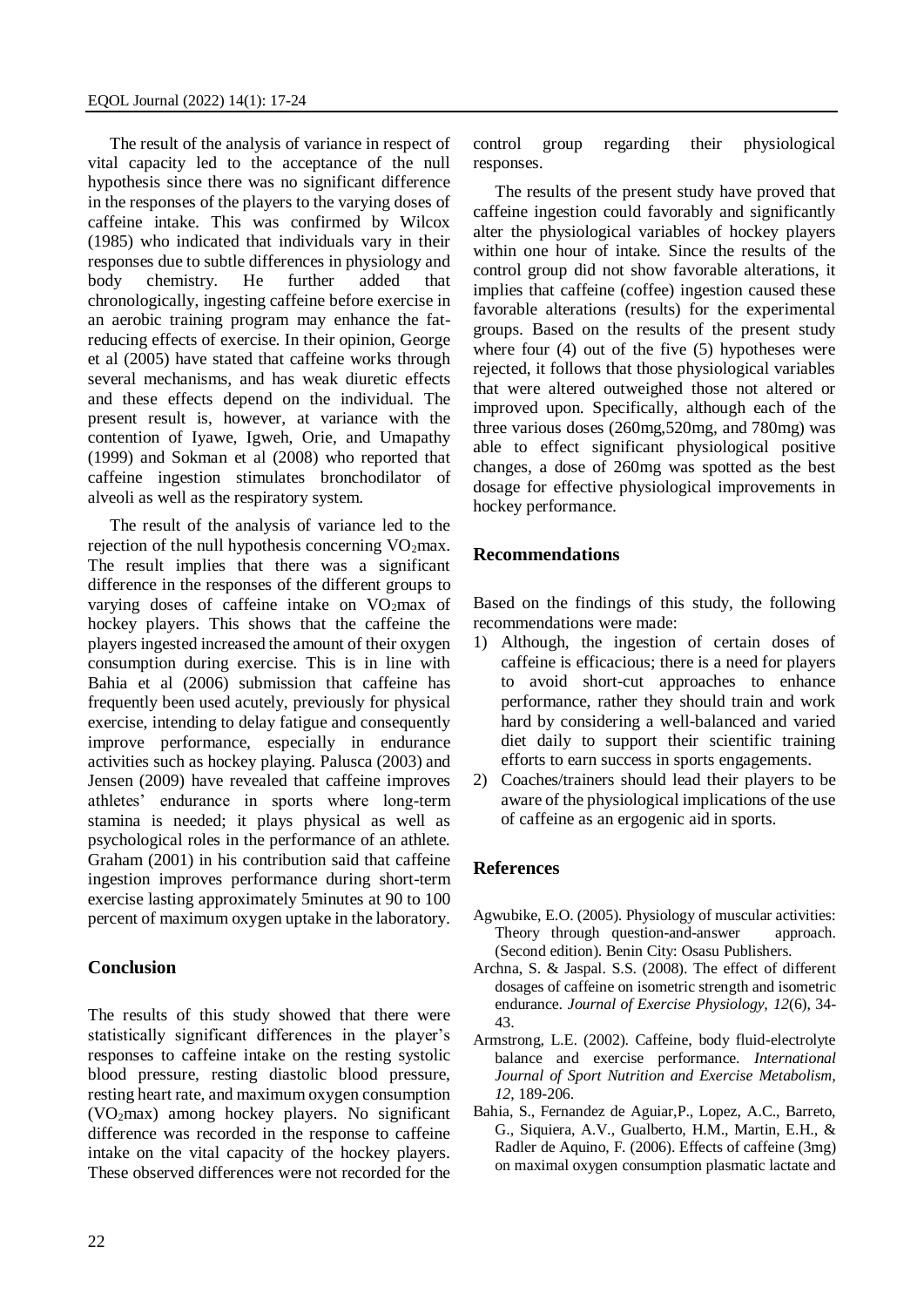The result of the analysis of variance in respect of vital capacity led to the acceptance of the null hypothesis since there was no significant difference in the responses of the players to the varying doses of caffeine intake. This was confirmed by Wilcox (1985) who indicated that individuals vary in their responses due to subtle differences in physiology and body chemistry. He further added that chronologically, ingesting caffeine before exercise in an aerobic training program may enhance the fatreducing effects of exercise. In their opinion, George et al (2005) have stated that caffeine works through several mechanisms, and has weak diuretic effects and these effects depend on the individual. The present result is, however, at variance with the contention of Iyawe, Igweh, Orie, and Umapathy (1999) and Sokman et al (2008) who reported that caffeine ingestion stimulates bronchodilator of alveoli as well as the respiratory system.

The result of the analysis of variance led to the rejection of the null hypothesis concerning  $VO<sub>2</sub>max$ . The result implies that there was a significant difference in the responses of the different groups to varying doses of caffeine intake on  $VO<sub>2</sub>max$  of hockey players. This shows that the caffeine the players ingested increased the amount of their oxygen consumption during exercise. This is in line with Bahia et al (2006) submission that caffeine has frequently been used acutely, previously for physical exercise, intending to delay fatigue and consequently improve performance, especially in endurance activities such as hockey playing. Palusca (2003) and Jensen (2009) have revealed that caffeine improves athletes' endurance in sports where long-term stamina is needed; it plays physical as well as psychological roles in the performance of an athlete. Graham (2001) in his contribution said that caffeine ingestion improves performance during short-term exercise lasting approximately 5minutes at 90 to 100 percent of maximum oxygen uptake in the laboratory.

#### **Conclusion**

The results of this study showed that there were statistically significant differences in the player's responses to caffeine intake on the resting systolic blood pressure, resting diastolic blood pressure, resting heart rate, and maximum oxygen consumption (VO2max) among hockey players. No significant difference was recorded in the response to caffeine intake on the vital capacity of the hockey players. These observed differences were not recorded for the

control group regarding their physiological responses.

The results of the present study have proved that caffeine ingestion could favorably and significantly alter the physiological variables of hockey players within one hour of intake. Since the results of the control group did not show favorable alterations, it implies that caffeine (coffee) ingestion caused these favorable alterations (results) for the experimental groups. Based on the results of the present study where four (4) out of the five (5) hypotheses were rejected, it follows that those physiological variables that were altered outweighed those not altered or improved upon. Specifically, although each of the three various doses (260mg,520mg, and 780mg) was able to effect significant physiological positive changes, a dose of 260mg was spotted as the best dosage for effective physiological improvements in hockey performance.

#### **Recommendations**

Based on the findings of this study, the following recommendations were made:

- 1) Although, the ingestion of certain doses of caffeine is efficacious; there is a need for players to avoid short-cut approaches to enhance performance, rather they should train and work hard by considering a well-balanced and varied diet daily to support their scientific training efforts to earn success in sports engagements.
- 2) Coaches/trainers should lead their players to be aware of the physiological implications of the use of caffeine as an ergogenic aid in sports.

#### **References**

- Agwubike, E.O. (2005). Physiology of muscular activities: Theory through question-and-answer approach. (Second edition). Benin City: Osasu Publishers.
- Archna, S. & Jaspal. S.S. (2008). The effect of different dosages of caffeine on isometric strength and isometric endurance. *Journal of Exercise Physiology, 12*(6), 34- 43.
- Armstrong, L.E. (2002). Caffeine, body fluid-electrolyte balance and exercise performance. *International Journal of Sport Nutrition and Exercise Metabolism, 12*, 189-206.
- Bahia, S., Fernandez de Aguiar,P., Lopez, A.C., Barreto, G., Siquiera, A.V., Gualberto, H.M., Martin, E.H., & Radler de Aquino, F. (2006). Effects of caffeine (3mg) on maximal oxygen consumption plasmatic lactate and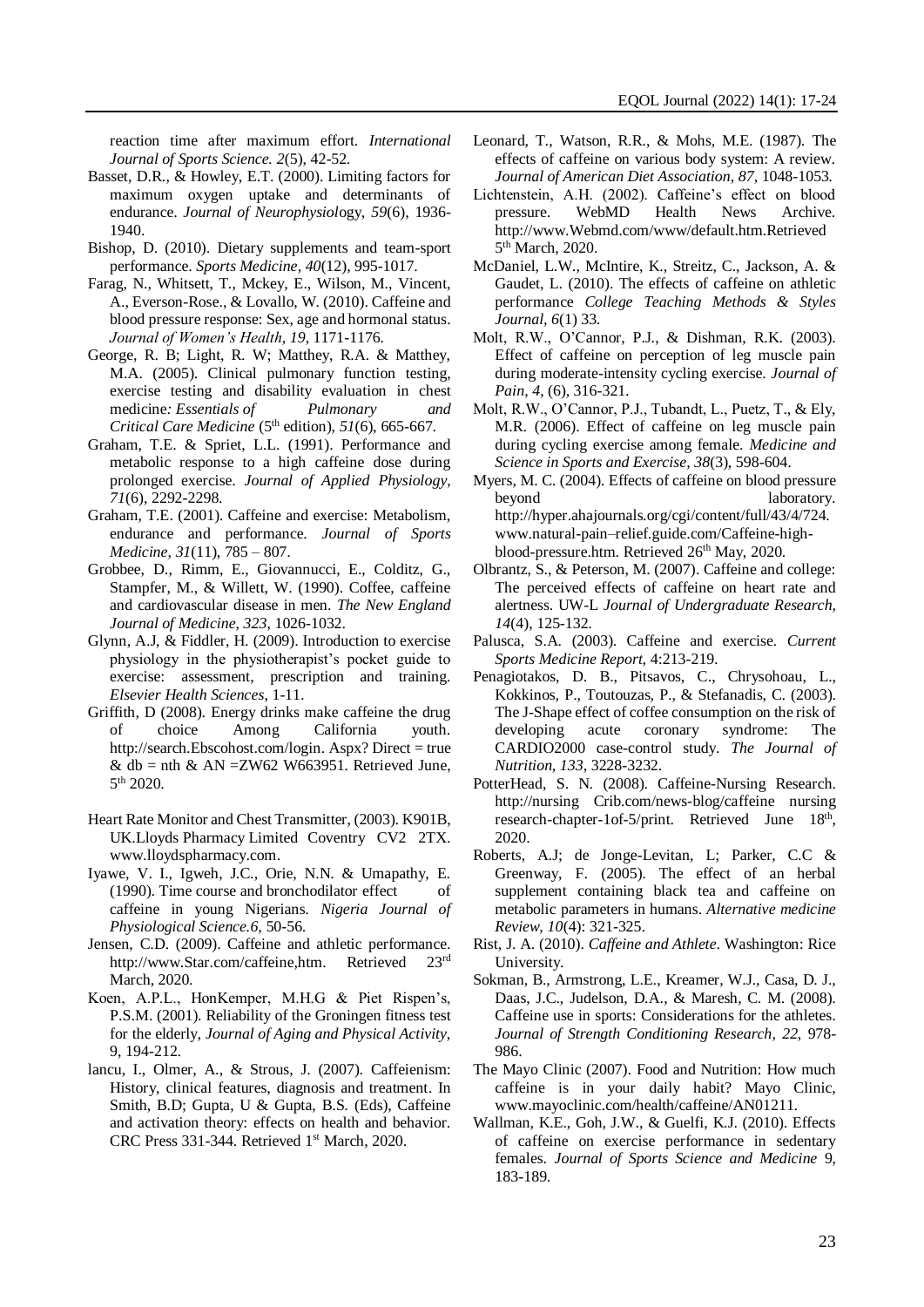reaction time after maximum effort. *International Journal of Sports Science. 2*(5), 42-52*.*

- Basset, D.R., & Howley, E.T. (2000). Limiting factors for maximum oxygen uptake and determinants of endurance. *Journal of Neurophysiol*ogy, *59*(6), 1936- 1940.
- Bishop, D. (2010). Dietary supplements and team-sport performance. *Sports Medicine, 40*(12), 995-1017.
- Farag, N., Whitsett, T., Mckey, E., Wilson, M., Vincent, A., Everson-Rose., & Lovallo, W. (2010). Caffeine and blood pressure response: Sex, age and hormonal status. *Journal of Women's Health, 19*, 1171-1176*.*
- George, R. B; Light, R. W; Matthey, R.A. & Matthey, M.A. (2005). Clinical pulmonary function testing, exercise testing and disability evaluation in chest medicine*: Essentials of Pulmonary and Critical Care Medicine* (5th edition), *51*(6), 665-667.
- Graham, T.E. & Spriet, L.L. (1991). Performance and metabolic response to a high caffeine dose during prolonged exercise. *Journal of Applied Physiology*, *71*(6), 2292-2298.
- Graham, T.E. (2001). Caffeine and exercise: Metabolism, endurance and performance. *Journal of Sports Medicine, 31*(11), 785 – 807.
- Grobbee, D., Rimm, E., Giovannucci, E., Colditz, G., Stampfer, M., & Willett, W. (1990). Coffee, caffeine and cardiovascular disease in men. *The New England Journal of Medicine, 323*, 1026-1032.
- Glynn, A.J, & Fiddler, H. (2009). Introduction to exercise physiology in the physiotherapist's pocket guide to exercise: assessment, prescription and training. *Elsevier Health Sciences*, 1-11.
- Griffith, D (2008). Energy drinks make caffeine the drug of choice Among California youth. [http://search.Ebscohost.com/login.](http://search.ebscohost.com/login) Aspx? Direct = true & db = nth & AN = ZW62 W663951. Retrieved June, 5 th 2020.
- Heart Rate Monitor and Chest Transmitter, (2003). K901B, UK.Lloyds Pharmacy Limited Coventry CV2 2TX. [www.lloydspharmacy.com.](http://www.lloydspharmacy.com/)
- Iyawe, V. I., Igweh, J.C., Orie, N.N. & Umapathy, E. (1990). Time course and bronchodilator effect of caffeine in young Nigerians. *Nigeria Journal of Physiological Science.6*, 50-56.
- Jensen, C.D. (2009). Caffeine and athletic performance. [http://www.Star.com/caffeine,htm.](http://www.star.com/caffeine,htm) Retrieved 23rd March, 2020.
- Koen, A.P.L., HonKemper, M.H.G & Piet Rispen's, P.S.M. (2001). Reliability of the Groningen fitness test for the elderly, *Journal of Aging and Physical Activity,* 9, 194-212.
- lancu, I., Olmer, A., & Strous, J. (2007). Caffeienism: History, clinical features, diagnosis and treatment. In Smith, B.D; Gupta, U & Gupta, B.S. (Eds), Caffeine and activation theory: effects on health and behavior. CRC Press 331-344. Retrieved 1st March, 2020.
- Leonard, T., Watson, R.R., & Mohs, M.E. (1987). The effects of caffeine on various body system: A review. *Journal of American Diet Association, 87*, 1048-1053*.*
- Lichtenstein, A.H. (2002). Caffeine's effect on blood pressure. WebMD Health News Archive. http://www.Webmd.com/www/default.htm.Retrieved 5<sup>th</sup> March, 2020.
- McDaniel, L.W., McIntire, K., Streitz, C., Jackson, A. & Gaudet, L. (2010). The effects of caffeine on athletic performance *College Teaching Methods & Styles Journal, 6*(1) 33.
- Molt, R.W., O'Cannor, P.J., & Dishman, R.K. (2003). Effect of caffeine on perception of leg muscle pain during moderate-intensity cycling exercise. *Journal of Pain, 4*, (6)*,* 316-321.
- Molt, R.W., O'Cannor, P.J., Tubandt, L., Puetz, T., & Ely, M.R. (2006). Effect of caffeine on leg muscle pain during cycling exercise among female. *Medicine and Science in Sports and Exercise, 38*(3), 598-604.
- Myers, M. C. (2004). Effects of caffeine on blood pressure beyond laboratory. [http://hyper.ahaj](http://hyper.aha/)ournals.org/cgi/content/full/43/4/724. [www.natural-pain–relief.guide.com/Caffeine-high](http://www.natural-pain–relief.guide.com/Caffeine-high-)blood-pressure.htm. Retrieved 26<sup>th</sup> May, 2020.
- Olbrantz, S., & Peterson, M. (2007). Caffeine and college: The perceived effects of caffeine on heart rate and alertness. UW-L *Journal of Undergraduate Research, 14*(4), 125-132.
- Palusca, S.A. (2003). Caffeine and exercise*. Current Sports Medicine Report,* 4:213-219.
- Penagiotakos, D. B., Pitsavos, C., Chrysohoau, L., Kokkinos, P., Toutouzas, P., & Stefanadis, C. (2003). The J-Shape effect of coffee consumption on the risk of developing acute coronary syndrome: The CARDIO2000 case-control study. *The Journal of Nutrition, 133*, 3228-3232.
- PotterHead, S. N. (2008). Caffeine-Nursing Research. [http://nursing](http://nursing/) Crib.com/news-blog/caffeine nursing research-chapter-1of-5/print. Retrieved June 18<sup>th</sup>, 2020.
- Roberts, A.J; de Jonge-Levitan, L; Parker, C.C & Greenway, F. (2005). The effect of an herbal supplement containing black tea and caffeine on metabolic parameters in humans. *Alternative medicine Review, 10*(4): 321-325.
- Rist, J. A. (2010). *Caffeine and Athlete*. Washington: Rice University.
- Sokman, B., Armstrong, L.E., Kreamer, W.J., Casa, D. J., Daas, J.C., Judelson, D.A., & Maresh, C. M. (2008). Caffeine use in sports: Considerations for the athletes. *Journal of Strength Conditioning Research, 22*, 978- 986.
- The Mayo Clinic (2007). Food and Nutrition: How much caffeine is in your daily habit? Mayo Clinic, www.mayoclinic.com/health/caffeine/AN01211.
- Wallman, K.E., Goh, J.W., & Guelfi, K.J. (2010). Effects of caffeine on exercise performance in sedentary females. *Journal of Sports Science and Medicine* 9, 183-189.